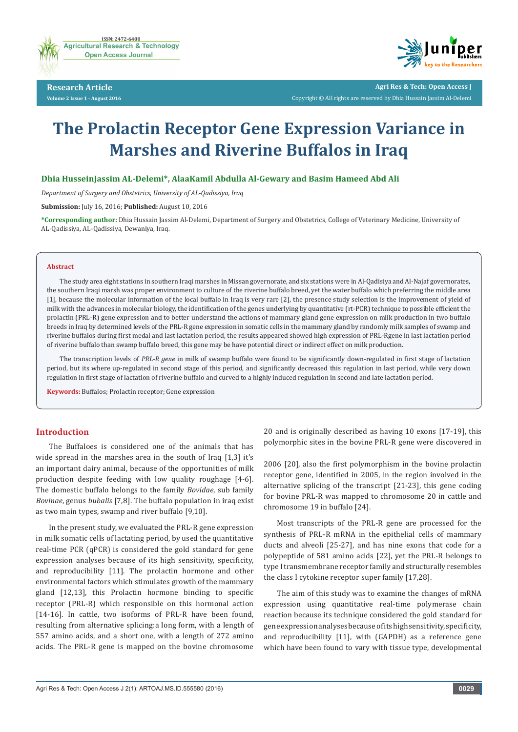

**Research Article Volume 2 Issue 1 - August 2016**



**Agri Res & Tech: Open Access J** Copyright © All rights are reserved by Dhia Hussain Jassim Al-Delemi

# **The Prolactin Receptor Gene Expression Variance in Marshes and Riverine Buffalos in Iraq**

## **Dhia HusseinJassim AL-Delemi\*, AlaaKamil Abdulla Al-Gewary and Basim Hameed Abd Ali**

*Department of Surgery and Obstetrics, University of AL-Qadissiya, Iraq*

**Submission:** July 16, 2016; **Published:** August 10, 2016

**\*Corresponding author:** Dhia Hussain Jassim Al-Delemi, Department of Surgery and Obstetrics, College of Veterinary Medicine, University of AL-Qadissiya, AL-Qadissiya, Dewaniya, Iraq.

#### **Abstract**

The study area eight stations in southern Iraqi marshes in Missan governorate, and six stations were in Al-Qadisiya and Al-Najaf governorates, the southern Iraqi marsh was proper environment to culture of the riverine buffalo breed, yet the water buffalo which preferring the middle area [1], because the molecular information of the local buffalo in Iraq is very rare [2], the presence study selection is the improvement of yield of milk with the advances in molecular biology, the identification of the genes underlying by quantitative (rt-PCR) technique to possible efficient the prolactin (PRL-R) gene expression and to better understand the actions of mammary gland gene expression on milk production in two buffalo breeds in Iraq by determined levels of the PRL-R gene expression in somatic cells in the mammary gland by randomly milk samples of swamp and riverine buffalos during first medal and last lactation period, the results appeared showed high expression of PRL-Rgene in last lactation period of riverine buffalo than swamp buffalo breed, this gene may be have potential direct or indirect effect on milk production.

The transcription levels of *PRL-R gene* in milk of swamp buffalo were found to be significantly down-regulated in first stage of lactation period, but its where up-regulated in second stage of this period, and significantly decreased this regulation in last period, while very down regulation in first stage of lactation of riverine buffalo and curved to a highly induced regulation in second and late lactation period.

**Keywords:** Buffalos; Prolactin receptor; Gene expression

## **Introduction**

The Buffaloes is considered one of the animals that has wide spread in the marshes area in the south of Iraq [1,3] it's an important dairy animal, because of the opportunities of milk production despite feeding with low quality roughage [4-6]. The domestic buffalo belongs to the family *Bovidae*, sub family *Bovinae*, genus *bubalis* [7,8]. The buffalo population in iraq exist as two main types, swamp and river buffalo [9,10].

In the present study, we evaluated the PRL-R gene expression in milk somatic cells of lactating period, by used the quantitative real-time PCR (qPCR) is considered the gold standard for gene expression analyses because of its high sensitivity, specificity, and reproducibility [11]. The prolactin hormone and other environmental factors which stimulates growth of the mammary gland [12,13], this Prolactin hormone binding to specific receptor (PRL-R) which responsible on this hormonal action [14-16]. In cattle, two isoforms of PRL-R have been found, resulting from alternative splicing:a long form, with a length of 557 amino acids, and a short one, with a length of 272 amino acids. The PRL-R gene is mapped on the bovine chromosome

20 and is originally described as having 10 exons [17-19], this polymorphic sites in the bovine PRL-R gene were discovered in

2006 [20], also the first polymorphism in the bovine prolactin receptor gene, identified in 2005, in the region involved in the alternative splicing of the transcript [21-23], this gene coding for bovine PRL-R was mapped to chromosome 20 in cattle and chromosome 19 in buffalo [24].

Most transcripts of the PRL-R gene are processed for the synthesis of PRL-R mRNA in the epithelial cells of mammary ducts and alveoli [25-27], and has nine exons that code for a polypeptide of 581 amino acids [22], yet the PRL-R belongs to type I transmembrane receptor family and structurally resembles the class I cytokine receptor super family [17,28].

The aim of this study was to examine the changes of mRNA expression using quantitative real-time polymerase chain reaction because its technique considered the gold standard for gene expression analyses because of its high sensitivity, specificity, and reproducibility [11], with (GAPDH) as a reference gene which have been found to vary with tissue type, developmental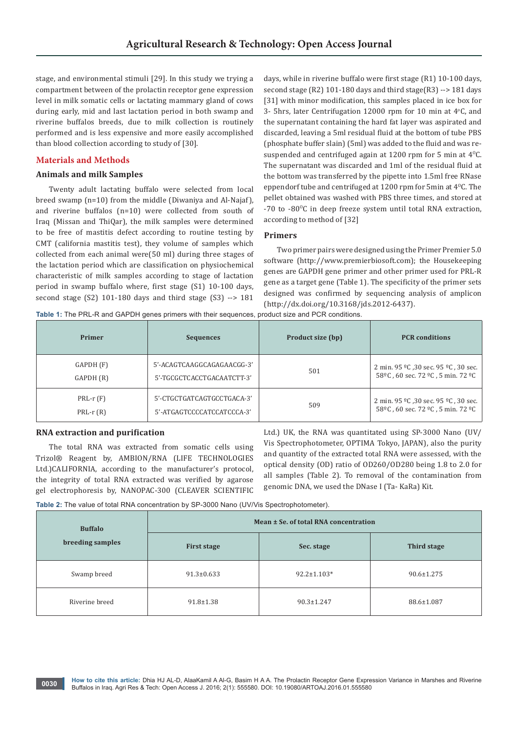stage, and environmental stimuli [29]. In this study we trying a compartment between of the prolactin receptor gene expression level in milk somatic cells or lactating mammary gland of cows during early, mid and last lactation period in both swamp and riverine buffalos breeds, due to milk collection is routinely performed and is less expensive and more easily accomplished than blood collection according to study of [30].

## **Materials and Methods**

#### **Animals and milk Samples**

Twenty adult lactating buffalo were selected from local breed swamp (n=10) from the middle (Diwaniya and Al-Najaf), and riverine buffalos (n=10) were collected from south of Iraq (Missan and ThiQar), the milk samples were determined to be free of mastitis defect according to routine testing by CMT (california mastitis test), they volume of samples which collected from each animal were(50 ml) during three stages of the lactation period which are classification on physiochemical characteristic of milk samples according to stage of lactation period in swamp buffalo where, first stage (S1) 10-100 days, second stage (S2) 101-180 days and third stage (S3) --> 181

days, while in riverine buffalo were first stage (R1) 10-100 days, second stage (R2) 101-180 days and third stage(R3) --> 181 days [31] with minor modification, this samples placed in ice box for 3- 5hrs, later Centrifugation  $12000$  rpm for  $10$  min at  $4^{\circ}$ C, and the supernatant containing the hard fat layer was aspirated and discarded, leaving a 5ml residual fluid at the bottom of tube PBS (phosphate buffer slain) (5ml) was added to the fluid and was resuspended and centrifuged again at 1200 rpm for 5 min at  $4^{\circ}$ C. The supernatant was discarded and 1ml of the residual fluid at the bottom was transferred by the pipette into 1.5ml free RNase eppendorf tube and centrifuged at  $1200$  rpm for 5min at  $4^{\circ}$ C. The pellet obtained was washed with PBS three times, and stored at  $-70$  to  $-80^{\circ}$ C in deep freeze system until total RNA extraction, according to method of [32]

#### **Primers**

Two primer pairs were designed using the Primer Premier 5.0 software (<http://www.premierbiosoft.com>); the Housekeeping genes are GAPDH gene primer and other primer used for PRL-R gene as a target gene (Table 1). The specificity of the primer sets designed was confirmed by sequencing analysis of amplicon [\(http://dx.doi.org/10.3168/jds.2012-6437\)](http://dx.doi.org/10.3168/jds.2012-6437).

**Table 1:** The PRL-R and GAPDH genes primers with their sequences, product size and PCR conditions.

| Primer     | <b>Sequences</b>           | Product size (bp) | <b>PCR</b> conditions                                                  |
|------------|----------------------------|-------------------|------------------------------------------------------------------------|
| GAPDH (F)  | 5'-ACAGTCAAGGCAGAGAACGG-3' | 501               | 2 min. 95 °C ,30 sec. 95 °C , 30 sec.                                  |
| GAPDH (R)  | 5'-TGCGCTCACCTGACAATCTT-3' |                   | 58 <sup>o</sup> C, 60 sec. 72 <sup>o</sup> C, 5 min. 72 <sup>o</sup> C |
| $PRL-r(F)$ | 5'-CTGCTGATCAGTGCCTGACA-3' | 509               | 2 min. 95 °C ,30 sec. 95 °C , 30 sec.                                  |
| $PRL-r(R)$ | 5'-ATGAGTCCCCATCCATCCCA-3' |                   | 58 <sup>o</sup> C, 60 sec. 72 <sup>o</sup> C, 5 min. 72 <sup>o</sup> C |

# **RNA extraction and purification**

The total RNA was extracted from somatic cells using Trizol® Reagent by, AMBION/RNA (LIFE TECHNOLOGIES Ltd.)CALIFORNIA, according to the manufacturer's protocol, the integrity of total RNA extracted was verified by agarose gel electrophoresis by, NANOPAC-300 (CLEAVER SCIENTIFIC

Ltd.) UK, the RNA was quantitated using SP-3000 Nano (UV/ Vis Spectrophotometer, OPTIMA Tokyo, JAPAN), also the purity and quantity of the extracted total RNA were assessed, with the optical density (OD) ratio of OD260/OD280 being 1.8 to 2.0 for all samples (Table 2). To removal of the contamination from genomic DNA, we used the DNase I (Ta- KaRa) Kit.

**Table 2:** The value of total RNA concentration by SP-3000 Nano (UV/Vis Spectrophotometer).

| <b>Buffalo</b><br>breeding samples | Mean ± Se. of total RNA concentration |                   |                  |  |
|------------------------------------|---------------------------------------|-------------------|------------------|--|
|                                    | <b>First stage</b>                    | Sec. stage        | Third stage      |  |
| Swamp breed                        | $91.3 \pm 0.633$                      | $92.2 \pm 1.103*$ | $90.6 \pm 1.275$ |  |
| Riverine breed                     | $91.8 \pm 1.38$                       | $90.3 \pm 1.247$  | 88.6±1.087       |  |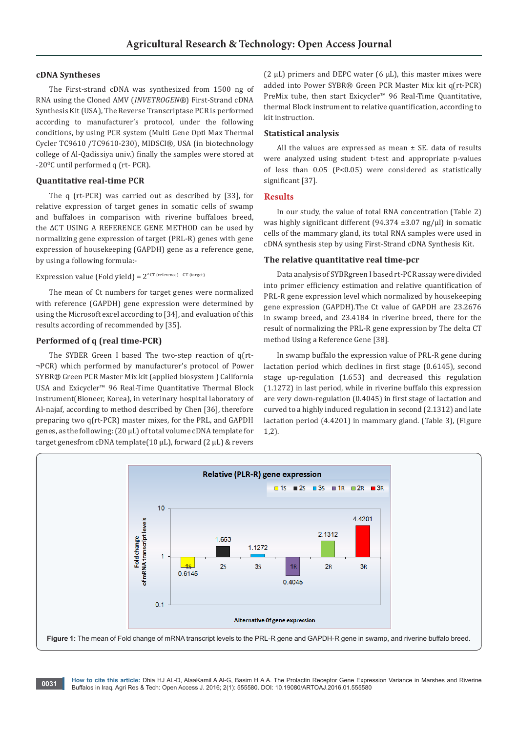#### **cDNA Syntheses**

The First-strand cDNA was synthesized from 1500 ng of RNA using the Cloned AMV (*INVETROGEN®*) First-Strand cDNA Synthesis Kit (USA), The Reverse Transcriptase PCR is performed according to manufacturer's protocol, under the following conditions, by using PCR system (Multi Gene Opti Max Thermal Cycler TC9610 /TC9610-230), MIDSCI®, USA (in biotechnology college of Al-Qadissiya univ.) finally the samples were stored at -20°C until performed q (rt- PCR).

#### **Quantitative real-time PCR**

The q (rt-PCR) was carried out as described by [33], for relative expression of target genes in somatic cells of swamp and buffaloes in comparison with riverine buffaloes breed, the ΔCT USING A REFERENCE GENE METHOD can be used by normalizing gene expression of target (PRL-R) genes with gene expression of housekeeping (GAPDH) gene as a reference gene, by using a following formula:-

## Expression value (Fold yield) =  $2^{\wedge \text{CT (reference)} - \text{CT (target)}}$

The mean of Ct numbers for target genes were normalized with reference (GAPDH) gene expression were determined by using the Microsoft excel according to [34], and evaluation of this results according of recommended by [35].

## **Performed of q (real time-PCR)**

The SYBER Green I based The two-step reaction of q(rt- ¬PCR) which performed by manufacturer's protocol of Power SYBR® Green PCR Master Mix kit (applied biosystem ) California USA and Exicycler™ 96 Real-Time Quantitative Thermal Block instrument(Bioneer, Korea), in veterinary hospital laboratory of Al-najaf, according to method described by Chen [36], therefore preparing two q(rt-PCR) master mixes, for the PRL, and GAPDH genes, as the following: (20 µL) of total volume cDNA template for target genesfrom cDNA template(10 μL), forward (2 μL) & revers

(2  $\mu$ L) primers and DEPC water (6  $\mu$ L), this master mixes were added into Power SYBR® Green PCR Master Mix kit q(rt-PCR) PreMix tube, then start Exicycler™ 96 Real-Time Quantitative, thermal Block instrument to relative quantification, according to kit instruction.

#### **Statistical analysis**

All the values are expressed as mean ± SE. data of results were analyzed using student t-test and appropriate p-values of less than 0.05 (P<0.05) were considered as statistically significant [37].

#### **Results**

In our study, the value of total RNA concentration (Table 2) was highly significant different (94.374  $\pm$ 3.07 ng/ $\mu$ l) in somatic cells of the mammary gland, its total RNA samples were used in cDNA synthesis step by using First-Strand cDNA Synthesis Kit.

#### **The relative quantitative real time-pcr**

Data analysis of SYBRgreen I based rt-PCR assay were divided into primer efficiency estimation and relative quantification of PRL-R gene expression level which normalized by housekeeping gene expression (GAPDH).The Ct value of GAPDH are 23.2676 in swamp breed, and 23.4184 in riverine breed, there for the result of normalizing the PRL-R gene expression by The delta CT method Using a Reference Gene [38].

In swamp buffalo the expression value of PRL-R gene during lactation period which declines in first stage (0.6145), second stage up-regulation (1.653) and decreased this regulation (1.1272) in last period, while in riverine buffalo this expression are very down-regulation (0.4045) in first stage of lactation and curved to a highly induced regulation in second (2.1312) and late lactation period (4.4201) in mammary gland. (Table 3), (Figure 1,2).



**How to cite this article:** Dhia HJ AL-D, AlaaKamil A Al-G, Basim H A A. The Prolactin Receptor Gene Expression Variance in Marshes and Riverine Buffalos in Iraq. Agri Res & Tech: Open Access J. 2016; 2(1): 555580. DOI: [10.19080/ARTOAJ.2016.01.555580](http://dx.doi.org/10.19080/artoaj.2016.02.555580
) **0031**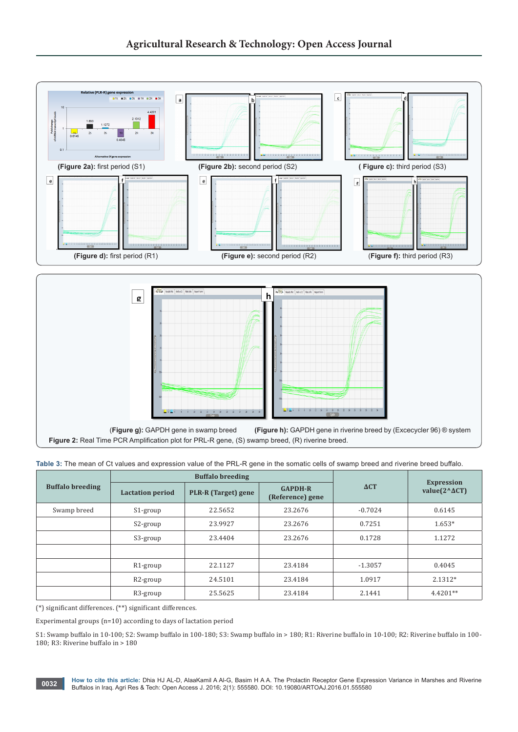

**Table 3:** The mean of Ct values and expression value of the PRL-R gene in the somatic cells of swamp breed and riverine breed buffalo.

| <b>Buffalo breeding</b> | <b>Buffalo breeding</b> |                     |                                    |             |                                                     |
|-------------------------|-------------------------|---------------------|------------------------------------|-------------|-----------------------------------------------------|
|                         | <b>Lactation period</b> | PLR-R (Target) gene | <b>GAPDH-R</b><br>(Reference) gene | $\Delta CT$ | <b>Expression</b><br>value $(2^{\wedge} \Delta CT)$ |
| Swamp breed             | S1-group                | 22.5652             | 23.2676                            | $-0.7024$   | 0.6145                                              |
|                         | S2-group                | 23.9927             | 23.2676                            | 0.7251      | $1.653*$                                            |
|                         | S3-group                | 23.4404             | 23.2676                            | 0.1728      | 1.1272                                              |
|                         |                         |                     |                                    |             |                                                     |
|                         | R <sub>1</sub> -group   | 22.1127             | 23.4184                            | $-1.3057$   | 0.4045                                              |
|                         | R <sub>2</sub> -group   | 24.5101             | 23.4184                            | 1.0917      | 2.1312*                                             |
|                         | R3-group                | 25.5625             | 23.4184                            | 2.1441      | 4.4201**                                            |

(\*) significant differences. (\*\*) significant differences.

Experimental groups (n=10) according to days of lactation period

S1: Swamp buffalo in 10-100; S2: Swamp buffalo in 100-180; S3: Swamp buffalo in > 180; R1: Riverine buffalo in 10-100; R2: Riverine buffalo in 100- 180; R3: Riverine buffalo in > 180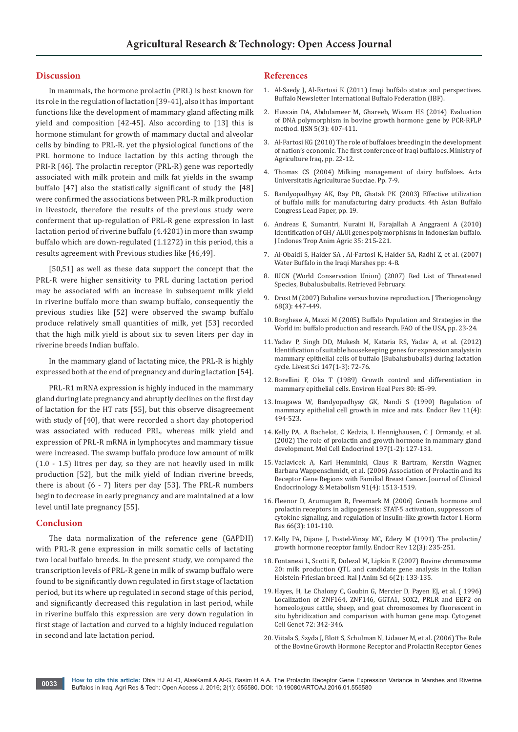#### **Discussion**

In mammals, the hormone prolactin (PRL) is best known for its role in the regulation of lactation [39-41], also it has important functions like the development of mammary gland affecting milk yield and composition [42-45]. Also according to [13] this is hormone stimulant for growth of mammary ductal and alveolar cells by binding to PRL-R. yet the physiological functions of the PRL hormone to induce lactation by this acting through the PRI-R [46]. The prolactin receptor (PRL-R) gene was reportedly associated with milk protein and milk fat yields in the swamp buffalo [47] also the statistically significant of study the [48] were confirmed the associations between PRL-R milk production in livestock, therefore the results of the previous study were conferment that up-regulation of PRL-R gene expression in last lactation period of riverine buffalo (4.4201) in more than swamp buffalo which are down-regulated (1.1272) in this period, this a results agreement with Previous studies like [46,49].

[50,51] as well as these data support the concept that the PRL-R were higher sensitivity to PRL during lactation period may be associated with an increase in subsequent milk yield in riverine buffalo more than swamp buffalo, consequently the previous studies like [52] were observed the swamp buffalo produce relatively small quantities of milk, yet [53] recorded that the high milk yield is about six to seven liters per day in riverine breeds Indian buffalo.

In the mammary gland of lactating mice, the PRL-R is highly expressed both at the end of pregnancy and during lactation [54].

PRL-R1 mRNA expression is highly induced in the mammary gland during late pregnancy and abruptly declines on the first day of lactation for the HT rats [55], but this observe disagreement with study of [40], that were recorded a short day photoperiod was associated with reduced PRL, whereas milk yield and expression of PRL-R mRNA in lymphocytes and mammary tissue were increased. The swamp buffalo produce low amount of milk (1.0 - 1.5) litres per day, so they are not heavily used in milk production [52], but the milk yield of Indian riverine breeds, there is about  $(6 - 7)$  liters per day [53]. The PRL-R numbers begin to decrease in early pregnancy and are maintained at a low level until late pregnancy [55].

#### **Conclusion**

The data normalization of the reference gene (GAPDH) with PRL-R gene expression in milk somatic cells of lactating two local buffalo breeds. In the present study, we compared the transcription levels of PRL-R gene in milk of swamp buffalo were found to be significantly down regulated in first stage of lactation period, but its where up regulated in second stage of this period, and significantly decreased this regulation in last period, while in riverine buffalo this expression are very down regulation in first stage of lactation and curved to a highly induced regulation in second and late lactation period.

#### **References**

- 1. Al-Saedy J, Al-Fartosi K (2011) Iraqi buffalo status and perspectives. Buffalo Newsletter International Buffalo Federation (IBF).
- 2. [Hussain DA, Abdulameer M, Ghareeb, Wisam HS \(2014\) Evaluation](http://scienceandnature.org/IJSN_Vol5(3)S2014/IJSN-VOL5(3)14-4.pdf)  [of DNA polymorphism in bovine growth hormone gene by PCR-RFLP](http://scienceandnature.org/IJSN_Vol5(3)S2014/IJSN-VOL5(3)14-4.pdf)  [method. IJSN 5\(3\): 407-411.](http://scienceandnature.org/IJSN_Vol5(3)S2014/IJSN-VOL5(3)14-4.pdf)
- 3. Al-Fartosi KG (2010) The role of buffaloes breeding in the development of nation's economic. The first conference of Iraqi buffaloes. Ministry of Agriculture Iraq, pp. 22-12.
- 4. [Thomas CS \(2004\) Milking management of dairy buffaloes. Acta](http://pub.epsilon.slu.se/512/)  [Universitatis Agriculturae Sueciae. Pp. 7-9.](http://pub.epsilon.slu.se/512/)
- 5. Bandyopadhyay AK, Ray PR, Ghatak PK (2003) Effective utilization of buffalo milk for manufacturing dairy products. 4th Asian Buffalo Congress Lead Paper, pp. 19.
- 6. Andreas E, Sumantri, Nuraini H, Farajallah A Anggraeni A (2010) Identification of GH/ ALUI genes polymorphisms in Indonesian buffalo. J Indones Trop Anim Agric 35: 215-221.
- 7. [Al-Obaidi S, Haider SA , Al-Fartosi K, Haider SA, Radhi Z, et al. \(2007\)](http://www.natureiraq.org/uploads/9/2/7/0/9270858/status_report_buffalothiqar.pdf)  [Water Buffalo in the Iraqi Marshes pp: 4-8.](http://www.natureiraq.org/uploads/9/2/7/0/9270858/status_report_buffalothiqar.pdf)
- 8. IUCN (World Conservation Union) (2007) Red List of Threatened Species, Bubalusbubalis. Retrieved February.
- 9. [Drost M \(2007\) Bubaline versus bovine reproduction. J Theriogenology](http://www.ncbi.nlm.nih.gov/pubmed/17482253)  [68\(3\): 447-449.](http://www.ncbi.nlm.nih.gov/pubmed/17482253)
- 10. Borghese A, Mazzi M (2005) Buffalo Population and Strategies in the World in: buffalo production and research. FAO of the USA, pp. 23-24.
- 11. [Yadav P, Singh DD, Mukesh M, Kataria RS, Yadav A, et al. \(2012\)](http://www.livestockscience.com/article/S1871-1413(12)00135-7/abstract)  [Identification of suitable housekeeping genes for expression analysis in](http://www.livestockscience.com/article/S1871-1413(12)00135-7/abstract)  [mammary epithelial cells of buffalo \(Bubalusbubalis\) during lactation](http://www.livestockscience.com/article/S1871-1413(12)00135-7/abstract)  [cycle. Livest Sci 147\(1-3\): 72-76.](http://www.livestockscience.com/article/S1871-1413(12)00135-7/abstract)
- 12. [Borellini F, Oka T \(1989\) Growth control and differentiation in](http://www.ncbi.nlm.nih.gov/pubmed/2647487)  [mammary epithelial cells. Environ Heal Pers 80: 85-99.](http://www.ncbi.nlm.nih.gov/pubmed/2647487)
- 13. [Imagawa W, Bandyopadhyay GK, Nandi S \(1990\) Regulation of](http://www.ncbi.nlm.nih.gov/pubmed/2292240)  [mammary epithelial cell growth in mice and rats. Endocr Rev 11\(4\):](http://www.ncbi.nlm.nih.gov/pubmed/2292240)  [494-523.](http://www.ncbi.nlm.nih.gov/pubmed/2292240)
- 14. [Kelly PA, A Bachelot, C Kedzia, L Hennighausen, C J Ormandy,](http://www.ncbi.nlm.nih.gov/pubmed/12431805) et al. [\(2002\) The role of prolactin and growth hormone in mammary gland](http://www.ncbi.nlm.nih.gov/pubmed/12431805)  development. [Mol Cell Endocrinol](http://www.ncbi.nlm.nih.gov/pubmed/12431805) 197(1-2): 127-131.
- 15. [Vaclavicek A, Kari Hemminki, Claus R Bartram, Kerstin Wagner,](http://press.endocrine.org/doi/abs/10.1210/jc.2005-1899)  [Barbara Wappenschmidt, et al. \(2006\) Association of Prolactin and Its](http://press.endocrine.org/doi/abs/10.1210/jc.2005-1899)  [Receptor Gene Regions with Familial Breast Cancer. Journal of Clinical](http://press.endocrine.org/doi/abs/10.1210/jc.2005-1899)  [Endocrinology & Metabolism 91\(4\): 1513-1519.](http://press.endocrine.org/doi/abs/10.1210/jc.2005-1899)
- 16. [Fleenor D, Arumugam R, Freemark M \(2006\) Growth hormone and](http://www.ncbi.nlm.nih.gov/pubmed/16735796)  [prolactin receptors in adipogenesis: STAT-5 activation, suppressors of](http://www.ncbi.nlm.nih.gov/pubmed/16735796)  [cytokine signaling, and regulation of insulin-like growth factor I. Horm](http://www.ncbi.nlm.nih.gov/pubmed/16735796)  [Res 66\(3\): 101-110.](http://www.ncbi.nlm.nih.gov/pubmed/16735796)
- 17. [Kelly PA, Dijane J, Postel-Vinay MC, Edery M \(1991\) The prolactin/](http://www.ncbi.nlm.nih.gov/pubmed/1935820)  [growth hormone receptor family. Endocr Rev 12\(3\): 235-251.](http://www.ncbi.nlm.nih.gov/pubmed/1935820)
- 18. Fontanesi L, Scotti E, Dolezal M, Lipkin E (2007) Bovine chromosome 20: milk production QTL and candidate gene analysis in the Italian Holstein-Friesian breed. Ital J Anim Sci 6(2): 133-135.
- 19. [Hayes, H, Le Chalony C, Goubin G, Mercier D, Payen EJ, et al. \( 1996\)](https://www.karger.com/Article/Abstract/134218)  [Localization of ZNF164, ZNF146, GGTA1, SOX2, PRLR and EEF2 on](https://www.karger.com/Article/Abstract/134218)  [homeologous cattle, sheep, and goat chromosomes by fluorescent in](https://www.karger.com/Article/Abstract/134218)  [situ hybridization and comparison with human gene map. Cytogenet](https://www.karger.com/Article/Abstract/134218)  [Cell Genet 72: 342-346.](https://www.karger.com/Article/Abstract/134218)
- 20. [Viitala S, Szyda J, Blott S, Schulman N, Lidauer M, et al. \(2006\) The Role](http://www.ncbi.nlm.nih.gov/pubmed/16751675)  [of the Bovine Growth Hormone Receptor and Prolactin Receptor Genes](http://www.ncbi.nlm.nih.gov/pubmed/16751675)